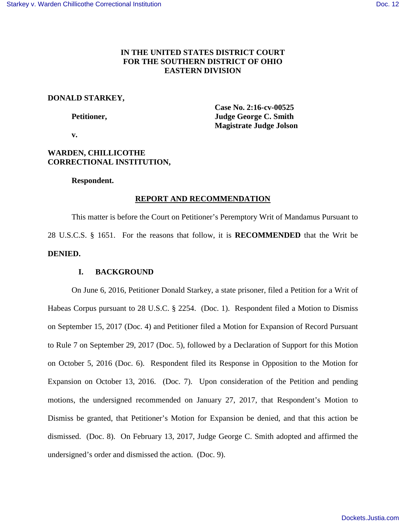# **IN THE UNITED STATES DISTRICT COURT FOR THE SOUTHERN DISTRICT OF OHIO EASTERN DIVISION**

## **DONALD STARKEY,**

 **Case No. 2:16-cv-00525 Petitioner, Judge George C. Smith Magistrate Judge Jolson** 

 **v.** 

# **WARDEN, CHILLICOTHE CORRECTIONAL INSTITUTION,**

### **Respondent.**

## **REPORT AND RECOMMENDATION**

 This matter is before the Court on Petitioner's Peremptory Writ of Mandamus Pursuant to 28 U.S.C.S. § 1651. For the reasons that follow, it is **RECOMMENDED** that the Writ be **DENIED.**

## **I. BACKGROUND**

On June 6, 2016, Petitioner Donald Starkey, a state prisoner, filed a Petition for a Writ of Habeas Corpus pursuant to 28 U.S.C. § 2254. (Doc. 1). Respondent filed a Motion to Dismiss on September 15, 2017 (Doc. 4) and Petitioner filed a Motion for Expansion of Record Pursuant to Rule 7 on September 29, 2017 (Doc. 5), followed by a Declaration of Support for this Motion on October 5, 2016 (Doc. 6). Respondent filed its Response in Opposition to the Motion for Expansion on October 13, 2016. (Doc. 7). Upon consideration of the Petition and pending motions, the undersigned recommended on January 27, 2017, that Respondent's Motion to Dismiss be granted, that Petitioner's Motion for Expansion be denied, and that this action be dismissed. (Doc. 8). On February 13, 2017, Judge George C. Smith adopted and affirmed the undersigned's order and dismissed the action. (Doc. 9).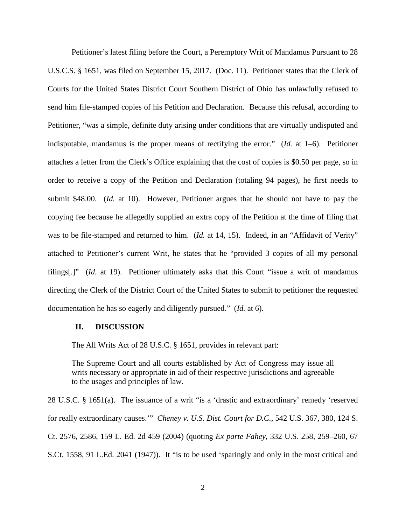Petitioner's latest filing before the Court, a Peremptory Writ of Mandamus Pursuant to 28 U.S.C.S. § 1651, was filed on September 15, 2017. (Doc. 11). Petitioner states that the Clerk of Courts for the United States District Court Southern District of Ohio has unlawfully refused to send him file-stamped copies of his Petition and Declaration. Because this refusal, according to Petitioner, "was a simple, definite duty arising under conditions that are virtually undisputed and indisputable, mandamus is the proper means of rectifying the error." (*Id.* at 1–6). Petitioner attaches a letter from the Clerk's Office explaining that the cost of copies is \$0.50 per page, so in order to receive a copy of the Petition and Declaration (totaling 94 pages), he first needs to submit \$48.00. (*Id.* at 10). However, Petitioner argues that he should not have to pay the copying fee because he allegedly supplied an extra copy of the Petition at the time of filing that was to be file-stamped and returned to him. (*Id.* at 14, 15). Indeed, in an "Affidavit of Verity" attached to Petitioner's current Writ, he states that he "provided 3 copies of all my personal filings[.]" (*Id.* at 19). Petitioner ultimately asks that this Court "issue a writ of mandamus directing the Clerk of the District Court of the United States to submit to petitioner the requested documentation he has so eagerly and diligently pursued." (*Id.* at 6).

#### **II. DISCUSSION**

The All Writs Act of 28 U.S.C. § 1651, provides in relevant part:

The Supreme Court and all courts established by Act of Congress may issue all writs necessary or appropriate in aid of their respective jurisdictions and agreeable to the usages and principles of law.

28 U.S.C. § 1651(a). The issuance of a writ "is a 'drastic and extraordinary' remedy 'reserved for really extraordinary causes.'" *Cheney v. U.S. Dist. Court for D.C.*, 542 U.S. 367, 380, 124 S. Ct. 2576, 2586, 159 L. Ed. 2d 459 (2004) (quoting *Ex parte Fahey*, 332 U.S. 258, 259–260, 67 S.Ct. 1558, 91 L.Ed. 2041 (1947)). It "is to be used 'sparingly and only in the most critical and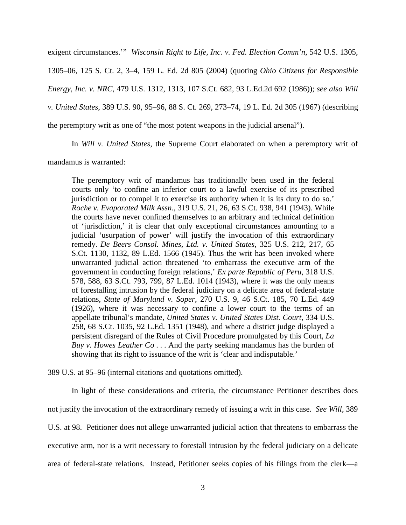exigent circumstances.'" *Wisconsin Right to Life, Inc. v. Fed. Election Comm'n*, 542 U.S. 1305, 1305–06, 125 S. Ct. 2, 3–4, 159 L. Ed. 2d 805 (2004) (quoting *Ohio Citizens for Responsible Energy, Inc. v. NRC*, 479 U.S. 1312, 1313, 107 S.Ct. 682, 93 L.Ed.2d 692 (1986)); *see also Will v. United States*, 389 U.S. 90, 95–96, 88 S. Ct. 269, 273–74, 19 L. Ed. 2d 305 (1967) (describing the peremptory writ as one of "the most potent weapons in the judicial arsenal").

In *Will v. United States*, the Supreme Court elaborated on when a peremptory writ of

mandamus is warranted:

The peremptory writ of mandamus has traditionally been used in the federal courts only 'to confine an inferior court to a lawful exercise of its prescribed jurisdiction or to compel it to exercise its authority when it is its duty to do so.' *Roche v. Evaporated Milk Assn.*, 319 U.S. 21, 26, 63 S.Ct. 938, 941 (1943). While the courts have never confined themselves to an arbitrary and technical definition of 'jurisdiction,' it is clear that only exceptional circumstances amounting to a judicial 'usurpation of power' will justify the invocation of this extraordinary remedy. *De Beers Consol. Mines, Ltd. v. United States*, 325 U.S. 212, 217, 65 S.Ct. 1130, 1132, 89 L.Ed. 1566 (1945). Thus the writ has been invoked where unwarranted judicial action threatened 'to embarrass the executive arm of the government in conducting foreign relations,' *Ex parte Republic of Peru*, 318 U.S. 578, 588, 63 S.Ct. 793, 799, 87 L.Ed. 1014 (1943), where it was the only means of forestalling intrusion by the federal judiciary on a delicate area of federal-state relations, *State of Maryland v. Soper*, 270 U.S. 9, 46 S.Ct. 185, 70 L.Ed. 449 (1926), where it was necessary to confine a lower court to the terms of an appellate tribunal's mandate, *United States v. United States Dist. Court*, 334 U.S. 258, 68 S.Ct. 1035, 92 L.Ed. 1351 (1948), and where a district judge displayed a persistent disregard of the Rules of Civil Procedure promulgated by this Court, *La Buy v. Howes Leather Co* . . . And the party seeking mandamus has the burden of showing that its right to issuance of the writ is 'clear and indisputable.'

389 U.S. at 95–96 (internal citations and quotations omitted).

In light of these considerations and criteria, the circumstance Petitioner describes does not justify the invocation of the extraordinary remedy of issuing a writ in this case. *See Will*, 389 U.S. at 98. Petitioner does not allege unwarranted judicial action that threatens to embarrass the executive arm, nor is a writ necessary to forestall intrusion by the federal judiciary on a delicate area of federal-state relations. Instead, Petitioner seeks copies of his filings from the clerk—a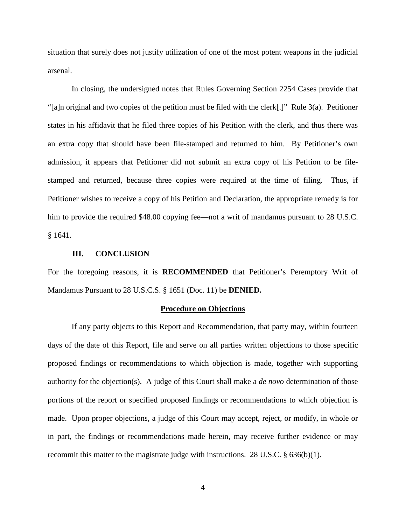situation that surely does not justify utilization of one of the most potent weapons in the judicial arsenal.

In closing, the undersigned notes that Rules Governing Section 2254 Cases provide that "[a]n original and two copies of the petition must be filed with the clerk[.]" Rule 3(a). Petitioner states in his affidavit that he filed three copies of his Petition with the clerk, and thus there was an extra copy that should have been file-stamped and returned to him. By Petitioner's own admission, it appears that Petitioner did not submit an extra copy of his Petition to be filestamped and returned, because three copies were required at the time of filing. Thus, if Petitioner wishes to receive a copy of his Petition and Declaration, the appropriate remedy is for him to provide the required \$48.00 copying fee—not a writ of mandamus pursuant to 28 U.S.C. § 1641.

#### **III. CONCLUSION**

For the foregoing reasons, it is **RECOMMENDED** that Petitioner's Peremptory Writ of Mandamus Pursuant to 28 U.S.C.S. § 1651 (Doc. 11) be **DENIED.**

#### **Procedure on Objections**

If any party objects to this Report and Recommendation, that party may, within fourteen days of the date of this Report, file and serve on all parties written objections to those specific proposed findings or recommendations to which objection is made, together with supporting authority for the objection(s). A judge of this Court shall make a *de novo* determination of those portions of the report or specified proposed findings or recommendations to which objection is made. Upon proper objections, a judge of this Court may accept, reject, or modify, in whole or in part, the findings or recommendations made herein, may receive further evidence or may recommit this matter to the magistrate judge with instructions. 28 U.S.C. § 636(b)(1).